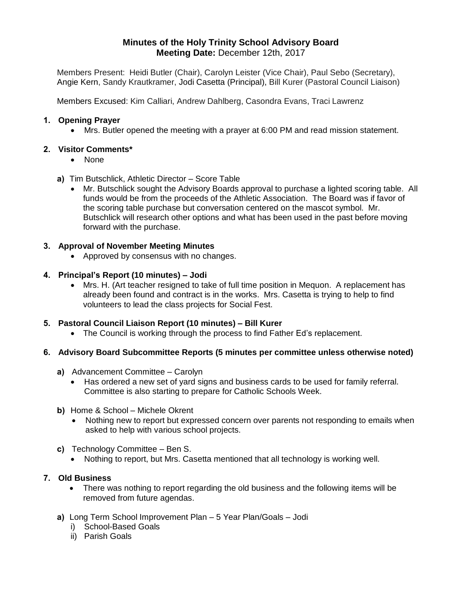# **Minutes of the Holy Trinity School Advisory Board Meeting Date:** December 12th, 2017

Members Present: Heidi Butler (Chair), Carolyn Leister (Vice Chair), Paul Sebo (Secretary), Angie Kern, Sandy Krautkramer, Jodi Casetta (Principal), Bill Kurer (Pastoral Council Liaison)

Members Excused: Kim Calliari, Andrew Dahlberg, Casondra Evans, Traci Lawrenz

#### **1. Opening Prayer**

Mrs. Butler opened the meeting with a prayer at 6:00 PM and read mission statement.

#### **2. Visitor Comments\***

- None
- **a)** Tim Butschlick, Athletic Director Score Table
	- Mr. Butschlick sought the Advisory Boards approval to purchase a lighted scoring table. All funds would be from the proceeds of the Athletic Association. The Board was if favor of the scoring table purchase but conversation centered on the mascot symbol. Mr. Butschlick will research other options and what has been used in the past before moving forward with the purchase.

### **3. Approval of November Meeting Minutes**

• Approved by consensus with no changes.

#### **4. Principal's Report (10 minutes) – Jodi**

 Mrs. H. (Art teacher resigned to take of full time position in Mequon. A replacement has already been found and contract is in the works. Mrs. Casetta is trying to help to find volunteers to lead the class projects for Social Fest.

### **5. Pastoral Council Liaison Report (10 minutes) – Bill Kurer**

The Council is working through the process to find Father Ed's replacement.

### **6. Advisory Board Subcommittee Reports (5 minutes per committee unless otherwise noted)**

- **a)** Advancement Committee Carolyn
	- Has ordered a new set of yard signs and business cards to be used for family referral. Committee is also starting to prepare for Catholic Schools Week.
- **b)** Home & School Michele Okrent
	- Nothing new to report but expressed concern over parents not responding to emails when asked to help with various school projects.
- **c)** Technology Committee Ben S.
	- Nothing to report, but Mrs. Casetta mentioned that all technology is working well.

### **7. Old Business**

- There was nothing to report regarding the old business and the following items will be removed from future agendas.
- **a)** Long Term School Improvement Plan 5 Year Plan/Goals Jodi
	- i) School-Based Goals
	- ii) Parish Goals